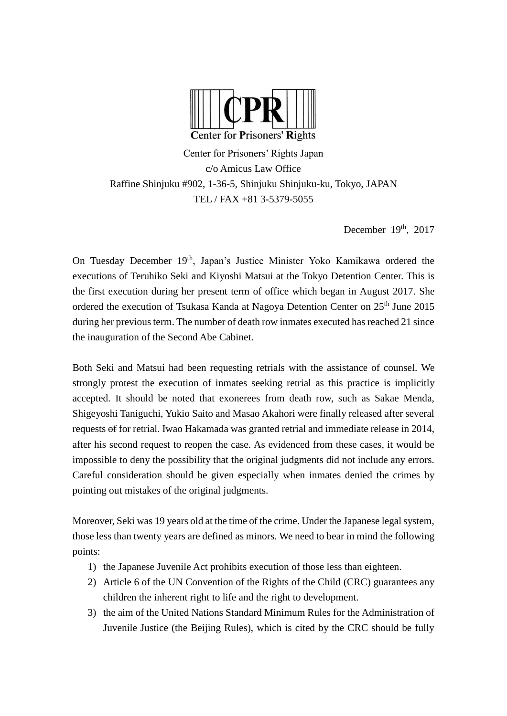

Center for Prisoners' Rights Japan c/o Amicus Law Office Raffine Shinjuku #902, 1-36-5, Shinjuku Shinjuku-ku, Tokyo, JAPAN TEL / FAX +81 3-5379-5055

December 19th, 2017

On Tuesday December 19<sup>th</sup>, Japan's Justice Minister Yoko Kamikawa ordered the executions of Teruhiko Seki and Kiyoshi Matsui at the Tokyo Detention Center. This is the first execution during her present term of office which began in August 2017. She ordered the execution of Tsukasa Kanda at Nagoya Detention Center on 25<sup>th</sup> June 2015 during her previous term. The number of death row inmates executed has reached 21 since the inauguration of the Second Abe Cabinet.

Both Seki and Matsui had been requesting retrials with the assistance of counsel. We strongly protest the execution of inmates seeking retrial as this practice is implicitly accepted. It should be noted that exonerees from death row, such as Sakae Menda, Shigeyoshi Taniguchi, Yukio Saito and Masao Akahori were finally released after several requests of for retrial. Iwao Hakamada was granted retrial and immediate release in 2014, after his second request to reopen the case. As evidenced from these cases, it would be impossible to deny the possibility that the original judgments did not include any errors. Careful consideration should be given especially when inmates denied the crimes by pointing out mistakes of the original judgments.

Moreover, Seki was 19 years old at the time of the crime. Under the Japanese legal system, those less than twenty years are defined as minors. We need to bear in mind the following points:

- 1) the Japanese Juvenile Act prohibits execution of those less than eighteen.
- 2) Article 6 of the UN Convention of the Rights of the Child (CRC) guarantees any children the inherent right to life and the right to development.
- 3) the aim of the United Nations Standard Minimum Rules for the Administration of Juvenile Justice (the Beijing Rules), which is cited by the CRC should be fully